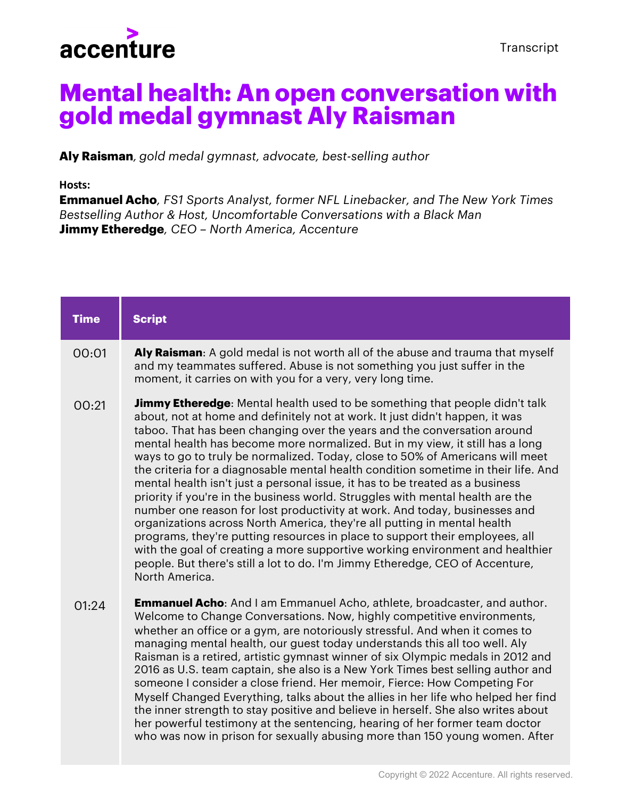

## **Mental health: An open conversation with gold medal gymnast Aly Raisman**

**Aly Raisman***, gold medal gymnast, advocate, best-selling author*

## **Hosts:**

**Emmanuel Acho***, FS1 Sports Analyst, former NFL Linebacker, and The New York Times Bestselling Author & Host, Uncomfortable Conversations with a Black Man* **Jimmy Etheredge***, CEO – North America, Accenture*

| <b>Time</b> | <b>Script</b>                                                                                                                                                                                                                                                                                                                                                                                                                                                                                                                                                                                                                                                                                                                                                                                                                                                                                                                                                                                                                                                                                            |
|-------------|----------------------------------------------------------------------------------------------------------------------------------------------------------------------------------------------------------------------------------------------------------------------------------------------------------------------------------------------------------------------------------------------------------------------------------------------------------------------------------------------------------------------------------------------------------------------------------------------------------------------------------------------------------------------------------------------------------------------------------------------------------------------------------------------------------------------------------------------------------------------------------------------------------------------------------------------------------------------------------------------------------------------------------------------------------------------------------------------------------|
| 00:01       | Aly Raisman: A gold medal is not worth all of the abuse and trauma that myself<br>and my teammates suffered. Abuse is not something you just suffer in the<br>moment, it carries on with you for a very, very long time.                                                                                                                                                                                                                                                                                                                                                                                                                                                                                                                                                                                                                                                                                                                                                                                                                                                                                 |
| 00:21       | <b>Jimmy Etheredge</b> : Mental health used to be something that people didn't talk<br>about, not at home and definitely not at work. It just didn't happen, it was<br>taboo. That has been changing over the years and the conversation around<br>mental health has become more normalized. But in my view, it still has a long<br>ways to go to truly be normalized. Today, close to 50% of Americans will meet<br>the criteria for a diagnosable mental health condition sometime in their life. And<br>mental health isn't just a personal issue, it has to be treated as a business<br>priority if you're in the business world. Struggles with mental health are the<br>number one reason for lost productivity at work. And today, businesses and<br>organizations across North America, they're all putting in mental health<br>programs, they're putting resources in place to support their employees, all<br>with the goal of creating a more supportive working environment and healthier<br>people. But there's still a lot to do. I'm Jimmy Etheredge, CEO of Accenture,<br>North America. |
| 01:24       | <b>Emmanuel Acho:</b> And I am Emmanuel Acho, athlete, broadcaster, and author.<br>Welcome to Change Conversations. Now, highly competitive environments,<br>whether an office or a gym, are notoriously stressful. And when it comes to<br>managing mental health, our guest today understands this all too well. Aly<br>Raisman is a retired, artistic gymnast winner of six Olympic medals in 2012 and<br>2016 as U.S. team captain, she also is a New York Times best selling author and<br>someone I consider a close friend. Her memoir, Fierce: How Competing For<br>Myself Changed Everything, talks about the allies in her life who helped her find<br>the inner strength to stay positive and believe in herself. She also writes about<br>her powerful testimony at the sentencing, hearing of her former team doctor<br>who was now in prison for sexually abusing more than 150 young women. After                                                                                                                                                                                         |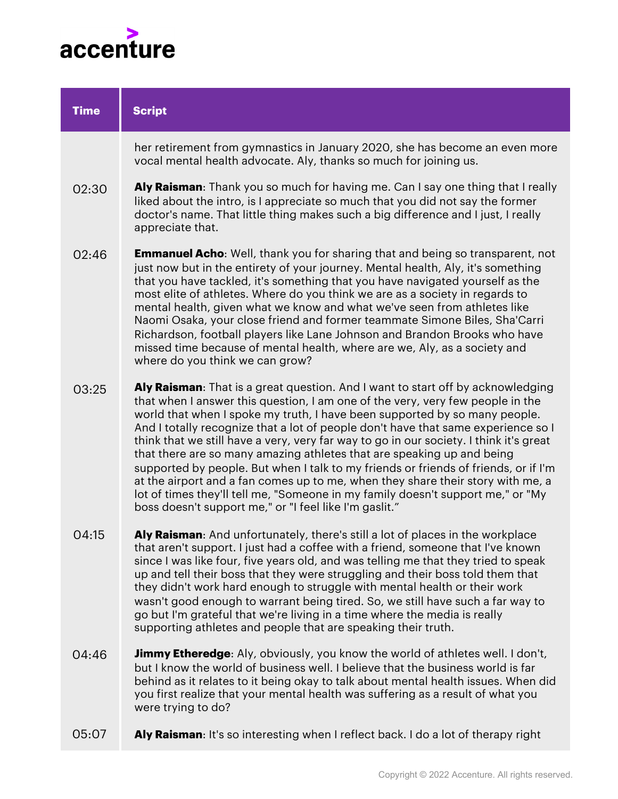

| <b>Time</b> | <b>Script</b>                                                                                                                                                                                                                                                                                                                                                                                                                                                                                                                                                                                                                                                                                                                                                                                                                   |
|-------------|---------------------------------------------------------------------------------------------------------------------------------------------------------------------------------------------------------------------------------------------------------------------------------------------------------------------------------------------------------------------------------------------------------------------------------------------------------------------------------------------------------------------------------------------------------------------------------------------------------------------------------------------------------------------------------------------------------------------------------------------------------------------------------------------------------------------------------|
|             | her retirement from gymnastics in January 2020, she has become an even more<br>vocal mental health advocate. Aly, thanks so much for joining us.                                                                                                                                                                                                                                                                                                                                                                                                                                                                                                                                                                                                                                                                                |
| 02:30       | Aly Raisman: Thank you so much for having me. Can I say one thing that I really<br>liked about the intro, is I appreciate so much that you did not say the former<br>doctor's name. That little thing makes such a big difference and I just, I really<br>appreciate that.                                                                                                                                                                                                                                                                                                                                                                                                                                                                                                                                                      |
| 02:46       | <b>Emmanuel Acho</b> : Well, thank you for sharing that and being so transparent, not<br>just now but in the entirety of your journey. Mental health, Aly, it's something<br>that you have tackled, it's something that you have navigated yourself as the<br>most elite of athletes. Where do you think we are as a society in regards to<br>mental health, given what we know and what we've seen from athletes like<br>Naomi Osaka, your close friend and former teammate Simone Biles, Sha'Carri<br>Richardson, football players like Lane Johnson and Brandon Brooks who have<br>missed time because of mental health, where are we, Aly, as a society and<br>where do you think we can grow?                                                                                                                              |
| 03:25       | Aly Raisman: That is a great question. And I want to start off by acknowledging<br>that when I answer this question, I am one of the very, very few people in the<br>world that when I spoke my truth, I have been supported by so many people.<br>And I totally recognize that a lot of people don't have that same experience so I<br>think that we still have a very, very far way to go in our society. I think it's great<br>that there are so many amazing athletes that are speaking up and being<br>supported by people. But when I talk to my friends or friends of friends, or if I'm<br>at the airport and a fan comes up to me, when they share their story with me, a<br>lot of times they'll tell me, "Someone in my family doesn't support me," or "My<br>boss doesn't support me," or "I feel like I'm gaslit." |
| 04:15       | Aly Raisman: And unfortunately, there's still a lot of places in the workplace<br>that aren't support. I just had a coffee with a friend, someone that I've known<br>since I was like four, five years old, and was telling me that they tried to speak<br>up and tell their boss that they were struggling and their boss told them that<br>they didn't work hard enough to struggle with mental health or their work<br>wasn't good enough to warrant being tired. So, we still have such a far way to<br>go but I'm grateful that we're living in a time where the media is really<br>supporting athletes and people that are speaking their truth.                                                                                                                                                                          |
| 04:46       | <b>Jimmy Etheredge:</b> Aly, obviously, you know the world of athletes well. I don't,<br>but I know the world of business well. I believe that the business world is far<br>behind as it relates to it being okay to talk about mental health issues. When did<br>you first realize that your mental health was suffering as a result of what you<br>were trying to do?                                                                                                                                                                                                                                                                                                                                                                                                                                                         |

**Aly Raisman**: It's so interesting when I reflect back. I do a lot of therapy right 05:07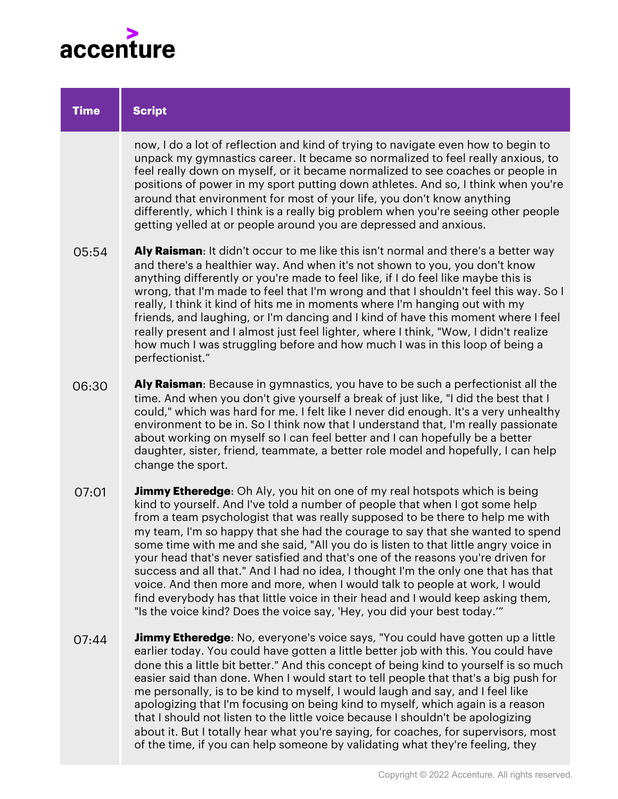

| <b>Time</b> | <b>Script</b>                                                                                                                                                                                                                                                                                                                                                                                                                                                                                                                                                                                                                                                                                                                                                                                                                                       |
|-------------|-----------------------------------------------------------------------------------------------------------------------------------------------------------------------------------------------------------------------------------------------------------------------------------------------------------------------------------------------------------------------------------------------------------------------------------------------------------------------------------------------------------------------------------------------------------------------------------------------------------------------------------------------------------------------------------------------------------------------------------------------------------------------------------------------------------------------------------------------------|
|             | now, I do a lot of reflection and kind of trying to navigate even how to begin to<br>unpack my gymnastics career. It became so normalized to feel really anxious, to<br>feel really down on myself, or it became normalized to see coaches or people in<br>positions of power in my sport putting down athletes. And so, I think when you're<br>around that environment for most of your life, you don't know anything<br>differently, which I think is a really big problem when you're seeing other people<br>getting yelled at or people around you are depressed and anxious.                                                                                                                                                                                                                                                                   |
| 05:54       | Aly Raisman: It didn't occur to me like this isn't normal and there's a better way<br>and there's a healthier way. And when it's not shown to you, you don't know<br>anything differently or you're made to feel like, if I do feel like maybe this is<br>wrong, that I'm made to feel that I'm wrong and that I shouldn't feel this way. So I<br>really, I think it kind of hits me in moments where I'm hanging out with my<br>friends, and laughing, or I'm dancing and I kind of have this moment where I feel<br>really present and I almost just feel lighter, where I think, "Wow, I didn't realize<br>how much I was struggling before and how much I was in this loop of being a<br>perfectionist."                                                                                                                                        |
| 06:30       | Aly Raisman: Because in gymnastics, you have to be such a perfectionist all the<br>time. And when you don't give yourself a break of just like, "I did the best that I<br>could," which was hard for me. I felt like I never did enough. It's a very unhealthy<br>environment to be in. So I think now that I understand that, I'm really passionate<br>about working on myself so I can feel better and I can hopefully be a better<br>daughter, sister, friend, teammate, a better role model and hopefully, I can help<br>change the sport.                                                                                                                                                                                                                                                                                                      |
| 07:01       | <b>Jimmy Etheredge:</b> Oh Aly, you hit on one of my real hotspots which is being<br>kind to yourself. And I've told a number of people that when I got some help<br>from a team psychologist that was really supposed to be there to help me with<br>my team, I'm so happy that she had the courage to say that she wanted to spend<br>some time with me and she said, "All you do is listen to that little angry voice in<br>your head that's never satisfied and that's one of the reasons you're driven for<br>success and all that." And I had no idea, I thought I'm the only one that has that<br>voice. And then more and more, when I would talk to people at work, I would<br>find everybody has that little voice in their head and I would keep asking them,<br>"Is the voice kind? Does the voice say, 'Hey, you did your best today." |
| 07:44       | <b>Jimmy Etheredge:</b> No, everyone's voice says, "You could have gotten up a little<br>earlier today. You could have gotten a little better job with this. You could have<br>done this a little bit better." And this concept of being kind to yourself is so much<br>easier said than done. When I would start to tell people that that's a big push for<br>me personally, is to be kind to myself, I would laugh and say, and I feel like<br>apologizing that I'm focusing on being kind to myself, which again is a reason<br>that I should not listen to the little voice because I shouldn't be apologizing<br>about it. But I totally hear what you're saying, for coaches, for supervisors, most                                                                                                                                           |

of the time, if you can help someone by validating what they're feeling, they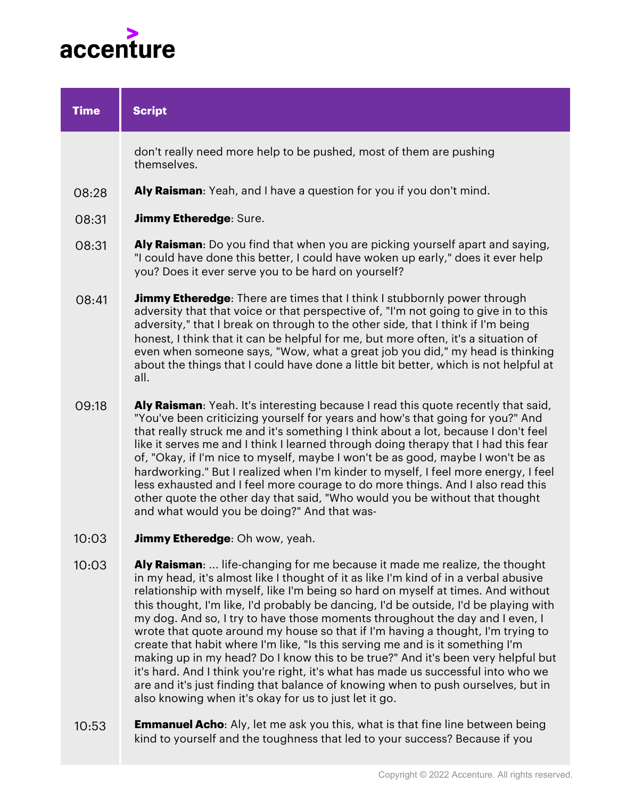

| <b>Time</b> | <b>Script</b>                                                                                                                                                                                                                                                                                                                                                                                                                                                                                                                                                                                                                                                                                                                                                                                                                                                                                                            |
|-------------|--------------------------------------------------------------------------------------------------------------------------------------------------------------------------------------------------------------------------------------------------------------------------------------------------------------------------------------------------------------------------------------------------------------------------------------------------------------------------------------------------------------------------------------------------------------------------------------------------------------------------------------------------------------------------------------------------------------------------------------------------------------------------------------------------------------------------------------------------------------------------------------------------------------------------|
|             | don't really need more help to be pushed, most of them are pushing<br>themselves.                                                                                                                                                                                                                                                                                                                                                                                                                                                                                                                                                                                                                                                                                                                                                                                                                                        |
| 08:28       | Aly Raisman: Yeah, and I have a question for you if you don't mind.                                                                                                                                                                                                                                                                                                                                                                                                                                                                                                                                                                                                                                                                                                                                                                                                                                                      |
| 08:31       | <b>Jimmy Etheredge: Sure.</b>                                                                                                                                                                                                                                                                                                                                                                                                                                                                                                                                                                                                                                                                                                                                                                                                                                                                                            |
| 08:31       | <b>Aly Raisman</b> : Do you find that when you are picking yourself apart and saying,<br>"I could have done this better, I could have woken up early," does it ever help<br>you? Does it ever serve you to be hard on yourself?                                                                                                                                                                                                                                                                                                                                                                                                                                                                                                                                                                                                                                                                                          |
| 08:41       | <b>Jimmy Etheredge:</b> There are times that I think I stubbornly power through<br>adversity that that voice or that perspective of, "I'm not going to give in to this<br>adversity," that I break on through to the other side, that I think if I'm being<br>honest, I think that it can be helpful for me, but more often, it's a situation of<br>even when someone says, "Wow, what a great job you did," my head is thinking<br>about the things that I could have done a little bit better, which is not helpful at<br>all.                                                                                                                                                                                                                                                                                                                                                                                         |
| 09:18       | Aly Raisman: Yeah. It's interesting because I read this quote recently that said,<br>"You've been criticizing yourself for years and how's that going for you?" And<br>that really struck me and it's something I think about a lot, because I don't feel<br>like it serves me and I think I learned through doing therapy that I had this fear<br>of, "Okay, if I'm nice to myself, maybe I won't be as good, maybe I won't be as<br>hardworking." But I realized when I'm kinder to myself, I feel more energy, I feel<br>less exhausted and I feel more courage to do more things. And I also read this<br>other quote the other day that said, "Who would you be without that thought<br>and what would you be doing?" And that was-                                                                                                                                                                                 |
| 10:03       | Jimmy Etheredge: Oh wow, yeah.                                                                                                                                                                                                                                                                                                                                                                                                                                                                                                                                                                                                                                                                                                                                                                                                                                                                                           |
| 10:03       | Aly Raisman:  life-changing for me because it made me realize, the thought<br>in my head, it's almost like I thought of it as like I'm kind of in a verbal abusive<br>relationship with myself, like I'm being so hard on myself at times. And without<br>this thought, I'm like, I'd probably be dancing, I'd be outside, I'd be playing with<br>my dog. And so, I try to have those moments throughout the day and I even, I<br>wrote that quote around my house so that if I'm having a thought, I'm trying to<br>create that habit where I'm like, "Is this serving me and is it something I'm<br>making up in my head? Do I know this to be true?" And it's been very helpful but<br>it's hard. And I think you're right, it's what has made us successful into who we<br>are and it's just finding that balance of knowing when to push ourselves, but in<br>also knowing when it's okay for us to just let it go. |
| 10.52       | <b>Emmanuel Acho</b> : Aly let me ask you this what is that fine line between being                                                                                                                                                                                                                                                                                                                                                                                                                                                                                                                                                                                                                                                                                                                                                                                                                                      |

**Emmanuel Acho**: Aly, let me ask you this, what is that fine line between being kind to yourself and the toughness that led to your success? Because if you ט:כ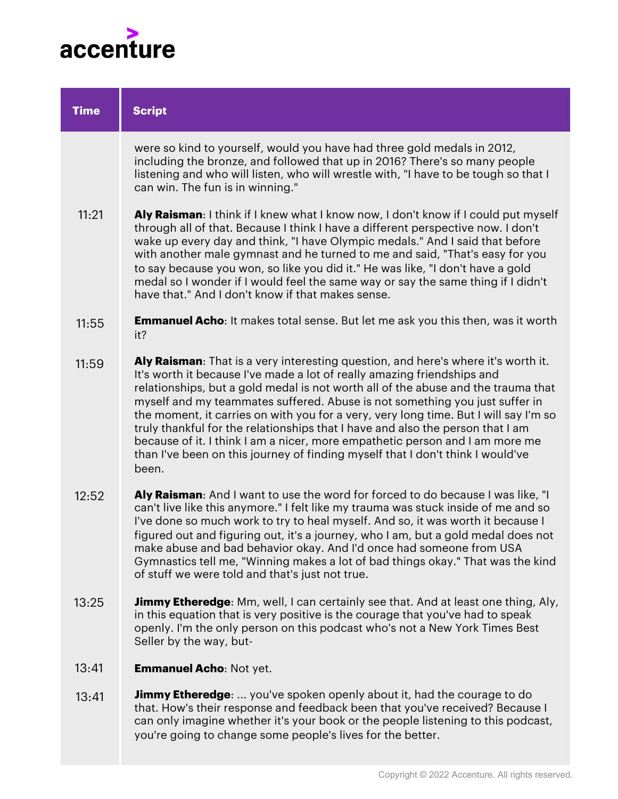

| <b>Time</b> | <b>Script</b>                                                                                                                                                                                                                                                                                                                                                                                                                                                                                                                                                                                                                                                                         |
|-------------|---------------------------------------------------------------------------------------------------------------------------------------------------------------------------------------------------------------------------------------------------------------------------------------------------------------------------------------------------------------------------------------------------------------------------------------------------------------------------------------------------------------------------------------------------------------------------------------------------------------------------------------------------------------------------------------|
|             | were so kind to yourself, would you have had three gold medals in 2012,<br>including the bronze, and followed that up in 2016? There's so many people<br>listening and who will listen, who will wrestle with, "I have to be tough so that I<br>can win. The fun is in winning."                                                                                                                                                                                                                                                                                                                                                                                                      |
| 11:21       | Aly Raisman: I think if I knew what I know now, I don't know if I could put myself<br>through all of that. Because I think I have a different perspective now. I don't<br>wake up every day and think, "I have Olympic medals." And I said that before<br>with another male gymnast and he turned to me and said, "That's easy for you<br>to say because you won, so like you did it." He was like, "I don't have a gold<br>medal so I wonder if I would feel the same way or say the same thing if I didn't<br>have that." And I don't know if that makes sense.                                                                                                                     |
| 11:55       | <b>Emmanuel Acho:</b> It makes total sense. But let me ask you this then, was it worth<br>it?                                                                                                                                                                                                                                                                                                                                                                                                                                                                                                                                                                                         |
| 11:59       | Aly Raisman: That is a very interesting question, and here's where it's worth it.<br>It's worth it because I've made a lot of really amazing friendships and<br>relationships, but a gold medal is not worth all of the abuse and the trauma that<br>myself and my teammates suffered. Abuse is not something you just suffer in<br>the moment, it carries on with you for a very, very long time. But I will say I'm so<br>truly thankful for the relationships that I have and also the person that I am<br>because of it. I think I am a nicer, more empathetic person and I am more me<br>than I've been on this journey of finding myself that I don't think I would've<br>been. |
| 12:52       | Aly Raisman: And I want to use the word for forced to do because I was like, "I<br>can't live like this anymore." I felt like my trauma was stuck inside of me and so<br>I've done so much work to try to heal myself. And so, it was worth it because I<br>figured out and figuring out, it's a journey, who I am, but a gold medal does not<br>make abuse and bad behavior okay. And I'd once had someone from USA<br>Gymnastics tell me, "Winning makes a lot of bad things okay." That was the kind<br>of stuff we were told and that's just not true.                                                                                                                            |
| 13:25       | <b>Jimmy Etheredge</b> : Mm, well, I can certainly see that. And at least one thing, Aly,<br>in this equation that is very positive is the courage that you've had to speak<br>openly. I'm the only person on this podcast who's not a New York Times Best<br>Seller by the way, but-                                                                                                                                                                                                                                                                                                                                                                                                 |
| 13:41       | <b>Emmanuel Acho: Not yet.</b>                                                                                                                                                                                                                                                                                                                                                                                                                                                                                                                                                                                                                                                        |
|             |                                                                                                                                                                                                                                                                                                                                                                                                                                                                                                                                                                                                                                                                                       |

**Jimmy Etheredge**: ... you've spoken openly about it, had the courage to do that. How's their response and feedback been that you've received? Because I can only imagine whether it's your book or the people listening to this podcast, you're going to change some people's lives for the better. 13:41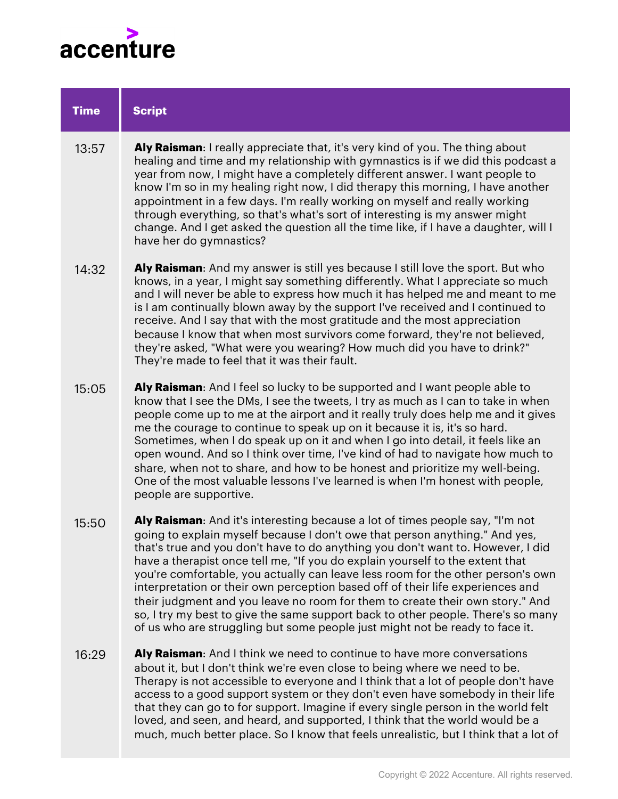

| <b>Time</b> | <b>Script</b>                                                                                                                                                                                                                                                                                                                                                                                                                                                                                                                                                                                                                                                                                                                                              |
|-------------|------------------------------------------------------------------------------------------------------------------------------------------------------------------------------------------------------------------------------------------------------------------------------------------------------------------------------------------------------------------------------------------------------------------------------------------------------------------------------------------------------------------------------------------------------------------------------------------------------------------------------------------------------------------------------------------------------------------------------------------------------------|
| 13:57       | Aly Raisman: I really appreciate that, it's very kind of you. The thing about<br>healing and time and my relationship with gymnastics is if we did this podcast a<br>year from now, I might have a completely different answer. I want people to<br>know I'm so in my healing right now, I did therapy this morning, I have another<br>appointment in a few days. I'm really working on myself and really working<br>through everything, so that's what's sort of interesting is my answer might<br>change. And I get asked the question all the time like, if I have a daughter, will I<br>have her do gymnastics?                                                                                                                                        |
| 14:32       | Aly Raisman: And my answer is still yes because I still love the sport. But who<br>knows, in a year, I might say something differently. What I appreciate so much<br>and I will never be able to express how much it has helped me and meant to me<br>is I am continually blown away by the support I've received and I continued to<br>receive. And I say that with the most gratitude and the most appreciation<br>because I know that when most survivors come forward, they're not believed,<br>they're asked, "What were you wearing? How much did you have to drink?"<br>They're made to feel that it was their fault.                                                                                                                               |
| 15:05       | Aly Raisman: And I feel so lucky to be supported and I want people able to<br>know that I see the DMs, I see the tweets, I try as much as I can to take in when<br>people come up to me at the airport and it really truly does help me and it gives<br>me the courage to continue to speak up on it because it is, it's so hard.<br>Sometimes, when I do speak up on it and when I go into detail, it feels like an<br>open wound. And so I think over time, I've kind of had to navigate how much to<br>share, when not to share, and how to be honest and prioritize my well-being.<br>One of the most valuable lessons I've learned is when I'm honest with people,<br>people are supportive.                                                          |
| 15:50       | Aly Raisman: And it's interesting because a lot of times people say, "I'm not<br>going to explain myself because I don't owe that person anything." And yes,<br>that's true and you don't have to do anything you don't want to. However, I did<br>have a therapist once tell me, "If you do explain yourself to the extent that<br>you're comfortable, you actually can leave less room for the other person's own<br>interpretation or their own perception based off of their life experiences and<br>their judgment and you leave no room for them to create their own story." And<br>so, I try my best to give the same support back to other people. There's so many<br>of us who are struggling but some people just might not be ready to face it. |
| 16:29       | Aly Raisman: And I think we need to continue to have more conversations<br>about it, but I don't think we're even close to being where we need to be.<br>Therapy is not accessible to everyone and I think that a lot of people don't have<br>access to a good support system or they don't even have somebody in their life<br>that they can go to for support. Imagine if every single person in the world felt<br>loved, and seen, and heard, and supported, I think that the world would be a<br>much, much better place. So I know that feels unrealistic, but I think that a lot of                                                                                                                                                                  |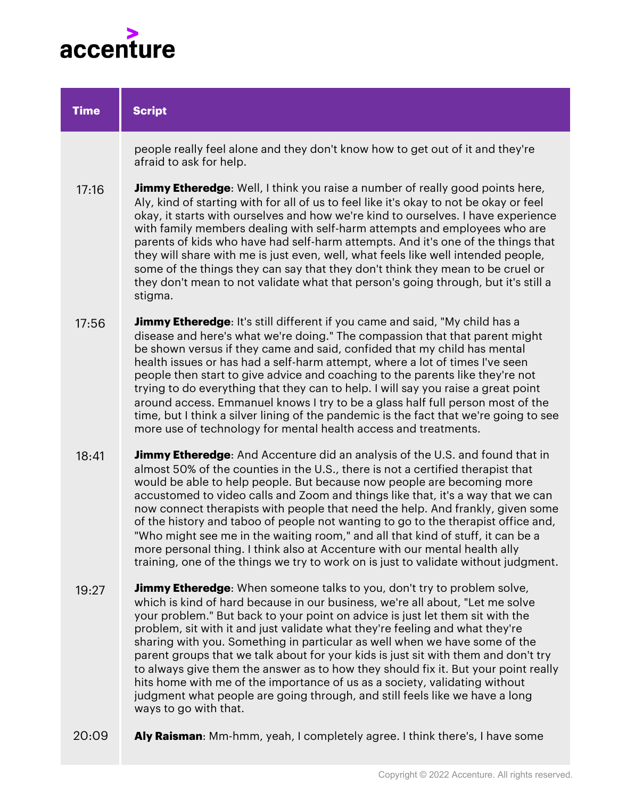

| <b>Time</b> | <b>Script</b>                                                                                                                                                                                                                                                                                                                                                                                                                                                                                                                                                                                                                                                                                                                                                                    |
|-------------|----------------------------------------------------------------------------------------------------------------------------------------------------------------------------------------------------------------------------------------------------------------------------------------------------------------------------------------------------------------------------------------------------------------------------------------------------------------------------------------------------------------------------------------------------------------------------------------------------------------------------------------------------------------------------------------------------------------------------------------------------------------------------------|
|             | people really feel alone and they don't know how to get out of it and they're<br>afraid to ask for help.                                                                                                                                                                                                                                                                                                                                                                                                                                                                                                                                                                                                                                                                         |
| 17:16       | <b>Jimmy Etheredge:</b> Well, I think you raise a number of really good points here,<br>Aly, kind of starting with for all of us to feel like it's okay to not be okay or feel<br>okay, it starts with ourselves and how we're kind to ourselves. I have experience<br>with family members dealing with self-harm attempts and employees who are<br>parents of kids who have had self-harm attempts. And it's one of the things that<br>they will share with me is just even, well, what feels like well intended people,<br>some of the things they can say that they don't think they mean to be cruel or<br>they don't mean to not validate what that person's going through, but it's still a<br>stigma.                                                                     |
| 17:56       | <b>Jimmy Etheredge:</b> It's still different if you came and said, "My child has a<br>disease and here's what we're doing." The compassion that that parent might<br>be shown versus if they came and said, confided that my child has mental<br>health issues or has had a self-harm attempt, where a lot of times I've seen<br>people then start to give advice and coaching to the parents like they're not<br>trying to do everything that they can to help. I will say you raise a great point<br>around access. Emmanuel knows I try to be a glass half full person most of the<br>time, but I think a silver lining of the pandemic is the fact that we're going to see<br>more use of technology for mental health access and treatments.                                |
| 18:41       | <b>Jimmy Etheredge:</b> And Accenture did an analysis of the U.S. and found that in<br>almost 50% of the counties in the U.S., there is not a certified therapist that<br>would be able to help people. But because now people are becoming more<br>accustomed to video calls and Zoom and things like that, it's a way that we can<br>now connect therapists with people that need the help. And frankly, given some<br>of the history and taboo of people not wanting to go to the therapist office and,<br>"Who might see me in the waiting room," and all that kind of stuff, it can be a<br>more personal thing. I think also at Accenture with our mental health ally<br>training, one of the things we try to work on is just to validate without judgment.               |
| 19:27       | <b>Jimmy Etheredge:</b> When someone talks to you, don't try to problem solve,<br>which is kind of hard because in our business, we're all about, "Let me solve<br>your problem." But back to your point on advice is just let them sit with the<br>problem, sit with it and just validate what they're feeling and what they're<br>sharing with you. Something in particular as well when we have some of the<br>parent groups that we talk about for your kids is just sit with them and don't try<br>to always give them the answer as to how they should fix it. But your point really<br>hits home with me of the importance of us as a society, validating without<br>judgment what people are going through, and still feels like we have a long<br>ways to go with that. |

**Aly Raisman**: Mm-hmm, yeah, I completely agree. I think there's, I have some 20:09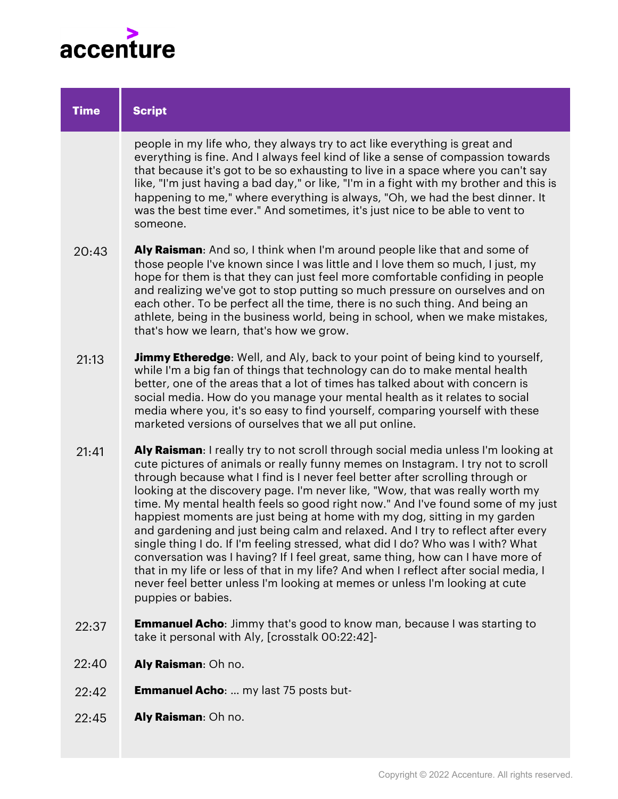

| <b>Time</b> | <b>Script</b>                                                                                                                                                                                                                                                                                                                                                                                                                                                                                                                                                                                                                                                                                                                                                                                                                                                                                                                                                 |
|-------------|---------------------------------------------------------------------------------------------------------------------------------------------------------------------------------------------------------------------------------------------------------------------------------------------------------------------------------------------------------------------------------------------------------------------------------------------------------------------------------------------------------------------------------------------------------------------------------------------------------------------------------------------------------------------------------------------------------------------------------------------------------------------------------------------------------------------------------------------------------------------------------------------------------------------------------------------------------------|
|             | people in my life who, they always try to act like everything is great and<br>everything is fine. And I always feel kind of like a sense of compassion towards<br>that because it's got to be so exhausting to live in a space where you can't say<br>like, "I'm just having a bad day," or like, "I'm in a fight with my brother and this is<br>happening to me," where everything is always, "Oh, we had the best dinner. It<br>was the best time ever." And sometimes, it's just nice to be able to vent to<br>someone.                                                                                                                                                                                                                                                                                                                                                                                                                                    |
| 20:43       | Aly Raisman: And so, I think when I'm around people like that and some of<br>those people I've known since I was little and I love them so much, I just, my<br>hope for them is that they can just feel more comfortable confiding in people<br>and realizing we've got to stop putting so much pressure on ourselves and on<br>each other. To be perfect all the time, there is no such thing. And being an<br>athlete, being in the business world, being in school, when we make mistakes,<br>that's how we learn, that's how we grow.                                                                                                                                                                                                                                                                                                                                                                                                                     |
| 21:13       | <b>Jimmy Etheredge:</b> Well, and Aly, back to your point of being kind to yourself,<br>while I'm a big fan of things that technology can do to make mental health<br>better, one of the areas that a lot of times has talked about with concern is<br>social media. How do you manage your mental health as it relates to social<br>media where you, it's so easy to find yourself, comparing yourself with these<br>marketed versions of ourselves that we all put online.                                                                                                                                                                                                                                                                                                                                                                                                                                                                                  |
| 21:41       | Aly Raisman: I really try to not scroll through social media unless I'm looking at<br>cute pictures of animals or really funny memes on Instagram. I try not to scroll<br>through because what I find is I never feel better after scrolling through or<br>looking at the discovery page. I'm never like, "Wow, that was really worth my<br>time. My mental health feels so good right now." And I've found some of my just<br>happiest moments are just being at home with my dog, sitting in my garden<br>and gardening and just being calm and relaxed. And I try to reflect after every<br>single thing I do. If I'm feeling stressed, what did I do? Who was I with? What<br>conversation was I having? If I feel great, same thing, how can I have more of<br>that in my life or less of that in my life? And when I reflect after social media, I<br>never feel better unless I'm looking at memes or unless I'm looking at cute<br>puppies or babies. |
| 22:37       | <b>Emmanuel Acho:</b> Jimmy that's good to know man, because I was starting to<br>take it personal with Aly, [crosstalk 00:22:42]-                                                                                                                                                                                                                                                                                                                                                                                                                                                                                                                                                                                                                                                                                                                                                                                                                            |
| 22:40       | Aly Raisman: Oh no.                                                                                                                                                                                                                                                                                                                                                                                                                                                                                                                                                                                                                                                                                                                                                                                                                                                                                                                                           |
| 22:42       | <b>Emmanuel Acho:</b> my last 75 posts but-                                                                                                                                                                                                                                                                                                                                                                                                                                                                                                                                                                                                                                                                                                                                                                                                                                                                                                                   |

**Aly Raisman**: Oh no. 22:45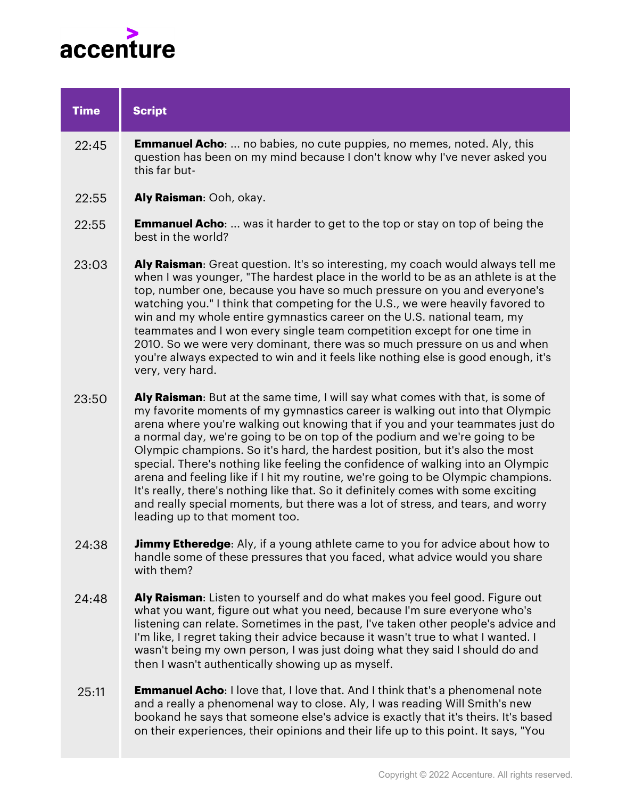

| <b>Time</b> | <b>Script</b>                                                                                                                                                                                                                                                                                                                                                                                                                                                                                                                                                                                                                                                                                                                                                                                   |
|-------------|-------------------------------------------------------------------------------------------------------------------------------------------------------------------------------------------------------------------------------------------------------------------------------------------------------------------------------------------------------------------------------------------------------------------------------------------------------------------------------------------------------------------------------------------------------------------------------------------------------------------------------------------------------------------------------------------------------------------------------------------------------------------------------------------------|
| 22:45       | <b>Emmanuel Acho:</b> no babies, no cute puppies, no memes, noted. Aly, this<br>question has been on my mind because I don't know why I've never asked you<br>this far but-                                                                                                                                                                                                                                                                                                                                                                                                                                                                                                                                                                                                                     |
| 22:55       | Aly Raisman: Ooh, okay.                                                                                                                                                                                                                                                                                                                                                                                                                                                                                                                                                                                                                                                                                                                                                                         |
| 22:55       | <b>Emmanuel Acho:</b> was it harder to get to the top or stay on top of being the<br>best in the world?                                                                                                                                                                                                                                                                                                                                                                                                                                                                                                                                                                                                                                                                                         |
| 23:03       | Aly Raisman: Great question. It's so interesting, my coach would always tell me<br>when I was younger, "The hardest place in the world to be as an athlete is at the<br>top, number one, because you have so much pressure on you and everyone's<br>watching you." I think that competing for the U.S., we were heavily favored to<br>win and my whole entire gymnastics career on the U.S. national team, my<br>teammates and I won every single team competition except for one time in<br>2010. So we were very dominant, there was so much pressure on us and when<br>you're always expected to win and it feels like nothing else is good enough, it's<br>very, very hard.                                                                                                                 |
| 23:50       | Aly Raisman: But at the same time, I will say what comes with that, is some of<br>my favorite moments of my gymnastics career is walking out into that Olympic<br>arena where you're walking out knowing that if you and your teammates just do<br>a normal day, we're going to be on top of the podium and we're going to be<br>Olympic champions. So it's hard, the hardest position, but it's also the most<br>special. There's nothing like feeling the confidence of walking into an Olympic<br>arena and feeling like if I hit my routine, we're going to be Olympic champions.<br>It's really, there's nothing like that. So it definitely comes with some exciting<br>and really special moments, but there was a lot of stress, and tears, and worry<br>leading up to that moment too. |
| 24:38       | Jimmy Etheredge: Aly, if a young athlete came to you for advice about how to<br>handle some of these pressures that you faced, what advice would you share<br>with them?                                                                                                                                                                                                                                                                                                                                                                                                                                                                                                                                                                                                                        |
| 24:48       | Aly Raisman: Listen to yourself and do what makes you feel good. Figure out<br>what you want, figure out what you need, because I'm sure everyone who's<br>listening can relate. Sometimes in the past, I've taken other people's advice and<br>I'm like, I regret taking their advice because it wasn't true to what I wanted. I<br>wasn't being my own person, I was just doing what they said I should do and<br>then I wasn't authentically showing up as myself.                                                                                                                                                                                                                                                                                                                           |

**Emmanuel Acho**: I love that, I love that. And I think that's a phenomenal note and a really a phenomenal way to close. Aly, I was reading Will Smith's new bookand he says that someone else's advice is exactly that it's theirs. It's based on their experiences, their opinions and their life up to this point. It says, "You 25:11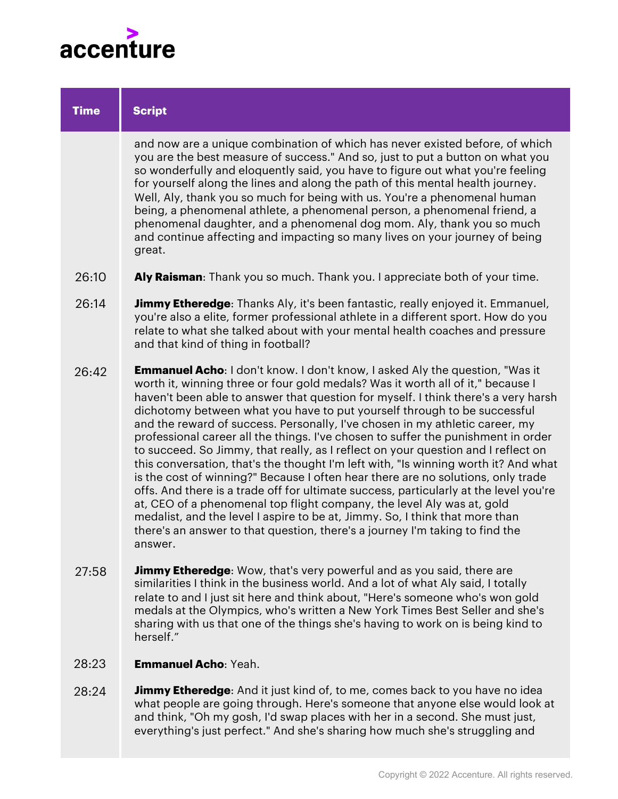

| <b>Time</b> | <b>Script</b>                                                                                                                                                                                                                                                                                                                                                                                                                                                                                                                                                                                                                                                                                                                                                                                                                                                                                                                                                                                                                                                                                                               |
|-------------|-----------------------------------------------------------------------------------------------------------------------------------------------------------------------------------------------------------------------------------------------------------------------------------------------------------------------------------------------------------------------------------------------------------------------------------------------------------------------------------------------------------------------------------------------------------------------------------------------------------------------------------------------------------------------------------------------------------------------------------------------------------------------------------------------------------------------------------------------------------------------------------------------------------------------------------------------------------------------------------------------------------------------------------------------------------------------------------------------------------------------------|
|             | and now are a unique combination of which has never existed before, of which<br>you are the best measure of success." And so, just to put a button on what you<br>so wonderfully and eloquently said, you have to figure out what you're feeling<br>for yourself along the lines and along the path of this mental health journey.<br>Well, Aly, thank you so much for being with us. You're a phenomenal human<br>being, a phenomenal athlete, a phenomenal person, a phenomenal friend, a<br>phenomenal daughter, and a phenomenal dog mom. Aly, thank you so much<br>and continue affecting and impacting so many lives on your journey of being<br>great.                                                                                                                                                                                                                                                                                                                                                                                                                                                               |
| 26:10       | Aly Raisman: Thank you so much. Thank you. I appreciate both of your time.                                                                                                                                                                                                                                                                                                                                                                                                                                                                                                                                                                                                                                                                                                                                                                                                                                                                                                                                                                                                                                                  |
| 26:14       | Jimmy Etheredge: Thanks Aly, it's been fantastic, really enjoyed it. Emmanuel,<br>you're also a elite, former professional athlete in a different sport. How do you<br>relate to what she talked about with your mental health coaches and pressure<br>and that kind of thing in football?                                                                                                                                                                                                                                                                                                                                                                                                                                                                                                                                                                                                                                                                                                                                                                                                                                  |
| 26:42       | <b>Emmanuel Acho:</b> I don't know. I don't know, I asked Aly the question, "Was it<br>worth it, winning three or four gold medals? Was it worth all of it," because I<br>haven't been able to answer that question for myself. I think there's a very harsh<br>dichotomy between what you have to put yourself through to be successful<br>and the reward of success. Personally, I've chosen in my athletic career, my<br>professional career all the things. I've chosen to suffer the punishment in order<br>to succeed. So Jimmy, that really, as I reflect on your question and I reflect on<br>this conversation, that's the thought I'm left with, "Is winning worth it? And what<br>is the cost of winning?" Because I often hear there are no solutions, only trade<br>offs. And there is a trade off for ultimate success, particularly at the level you're<br>at, CEO of a phenomenal top flight company, the level Aly was at, gold<br>medalist, and the level I aspire to be at, Jimmy. So, I think that more than<br>there's an answer to that question, there's a journey I'm taking to find the<br>answer. |
| 27:58       | <b>Jimmy Etheredge:</b> Wow, that's very powerful and as you said, there are<br>similarities I think in the business world. And a lot of what Aly said, I totally<br>relate to and I just sit here and think about, "Here's someone who's won gold<br>medals at the Olympics, who's written a New York Times Best Seller and she's<br>sharing with us that one of the things she's having to work on is being kind to<br>herself."                                                                                                                                                                                                                                                                                                                                                                                                                                                                                                                                                                                                                                                                                          |

- **Emmanuel Acho**: Yeah. 28:23
- **Jimmy Etheredge:** And it just kind of, to me, comes back to you have no idea what people are going through. Here's someone that anyone else would look at and think, "Oh my gosh, I'd swap places with her in a second. She must just, everything's just perfect." And she's sharing how much she's struggling and 28:24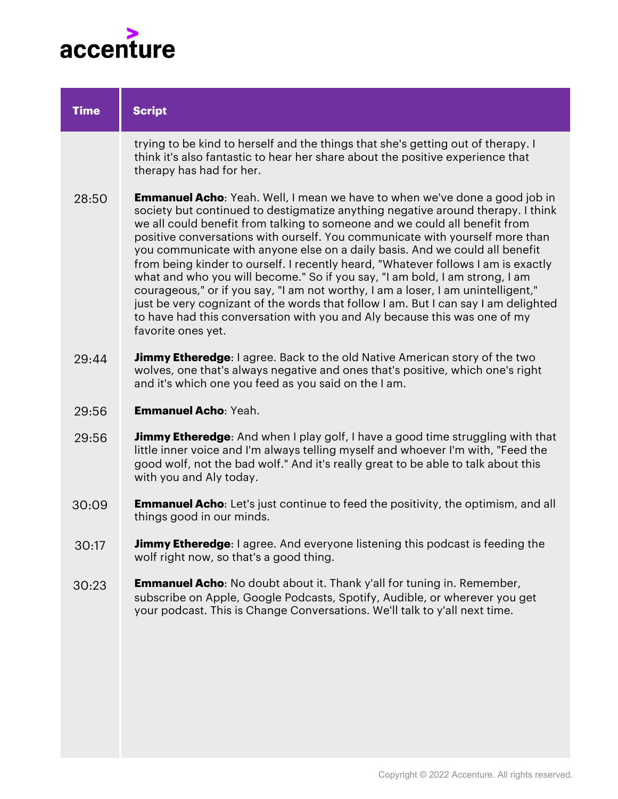

| <b>Time</b> | <b>Script</b>                                                                                                                                                                                                                                                                                                                                                                                                                                                                                                                                                                                                                                                                                                                                                                                                                                                      |
|-------------|--------------------------------------------------------------------------------------------------------------------------------------------------------------------------------------------------------------------------------------------------------------------------------------------------------------------------------------------------------------------------------------------------------------------------------------------------------------------------------------------------------------------------------------------------------------------------------------------------------------------------------------------------------------------------------------------------------------------------------------------------------------------------------------------------------------------------------------------------------------------|
|             | trying to be kind to herself and the things that she's getting out of therapy. I<br>think it's also fantastic to hear her share about the positive experience that<br>therapy has had for her.                                                                                                                                                                                                                                                                                                                                                                                                                                                                                                                                                                                                                                                                     |
| 28:50       | <b>Emmanuel Acho:</b> Yeah. Well, I mean we have to when we've done a good job in<br>society but continued to destigmatize anything negative around therapy. I think<br>we all could benefit from talking to someone and we could all benefit from<br>positive conversations with ourself. You communicate with yourself more than<br>you communicate with anyone else on a daily basis. And we could all benefit<br>from being kinder to ourself. I recently heard, "Whatever follows I am is exactly<br>what and who you will become." So if you say, "I am bold, I am strong, I am<br>courageous," or if you say, "I am not worthy, I am a loser, I am unintelligent,"<br>just be very cognizant of the words that follow I am. But I can say I am delighted<br>to have had this conversation with you and Aly because this was one of my<br>favorite ones yet. |
| 29:44       | <b>Jimmy Etheredge</b> : I agree. Back to the old Native American story of the two<br>wolves, one that's always negative and ones that's positive, which one's right<br>and it's which one you feed as you said on the I am.                                                                                                                                                                                                                                                                                                                                                                                                                                                                                                                                                                                                                                       |
| 29:56       | <b>Emmanuel Acho: Yeah.</b>                                                                                                                                                                                                                                                                                                                                                                                                                                                                                                                                                                                                                                                                                                                                                                                                                                        |
| 29:56       | <b>Jimmy Etheredge</b> : And when I play golf, I have a good time struggling with that<br>little inner voice and I'm always telling myself and whoever I'm with, "Feed the<br>good wolf, not the bad wolf." And it's really great to be able to talk about this<br>with you and Aly today.                                                                                                                                                                                                                                                                                                                                                                                                                                                                                                                                                                         |
| 30:09       | <b>Emmanuel Acho:</b> Let's just continue to feed the positivity, the optimism, and all<br>things good in our minds.                                                                                                                                                                                                                                                                                                                                                                                                                                                                                                                                                                                                                                                                                                                                               |
| 30:17       | Jimmy Etheredge: I agree. And everyone listening this podcast is feeding the<br>wolf right now, so that's a good thing.                                                                                                                                                                                                                                                                                                                                                                                                                                                                                                                                                                                                                                                                                                                                            |
| 30:23       | <b>Emmanuel Acho:</b> No doubt about it. Thank y'all for tuning in. Remember,<br>subscribe on Apple, Google Podcasts, Spotify, Audible, or wherever you get<br>your podcast. This is Change Conversations. We'll talk to y'all next time.                                                                                                                                                                                                                                                                                                                                                                                                                                                                                                                                                                                                                          |
|             |                                                                                                                                                                                                                                                                                                                                                                                                                                                                                                                                                                                                                                                                                                                                                                                                                                                                    |